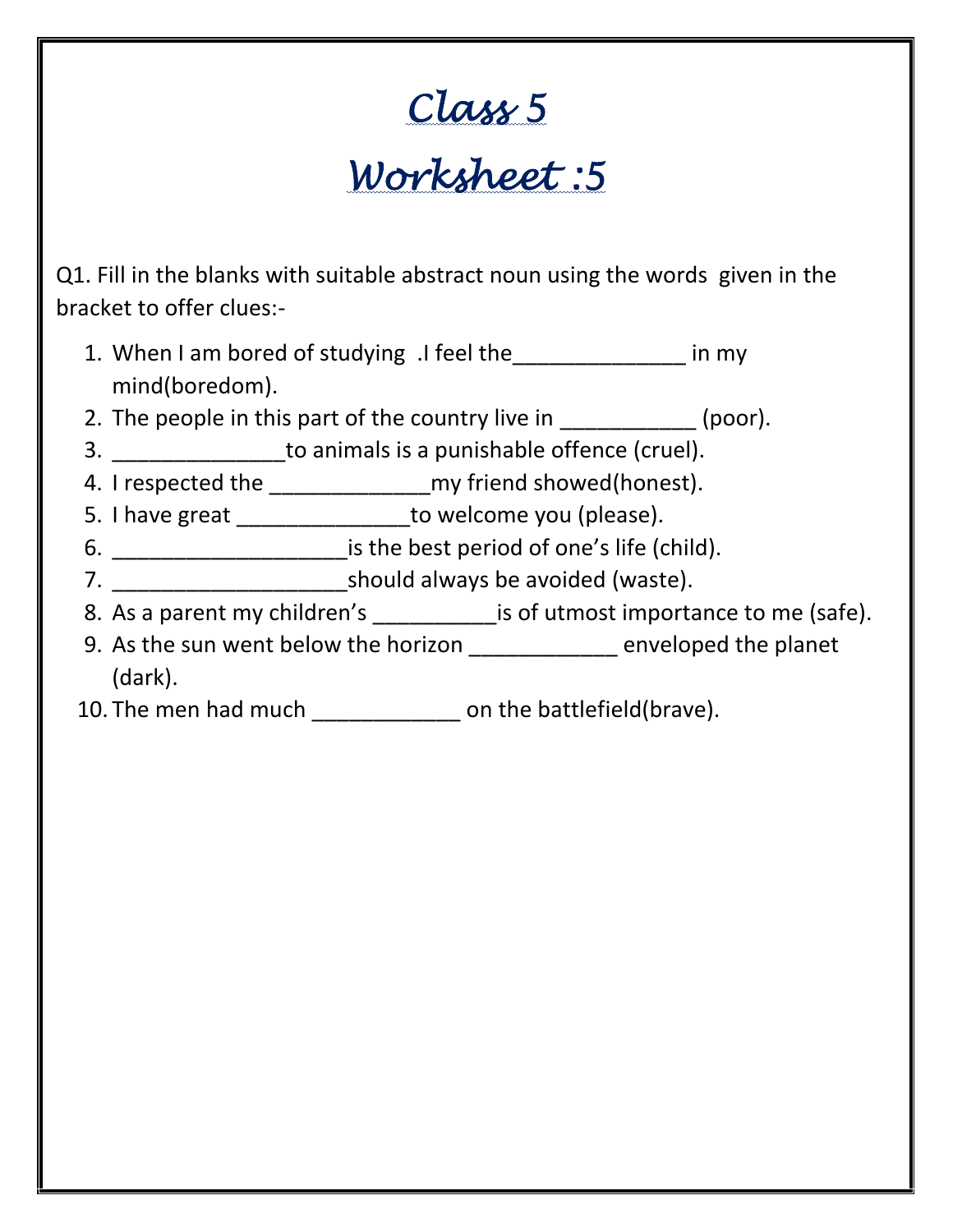## **Class 5**

## **Worksheet :5**

Q1. Fill in the blanks with suitable abstract noun using the words given in the bracket to offer clues:-

- 1. When I am bored of studying .I feel the\_\_\_\_\_\_\_\_\_\_\_\_\_\_\_ in my mind(boredom).
- 2. The people in this part of the country live in  $(poor)$ .
- 3. **Example 20** to animals is a punishable offence (cruel).
- 4. I respected the \_\_\_\_\_\_\_\_\_\_\_\_\_\_\_\_\_\_\_\_\_\_\_\_ my friend showed(honest).
- 5. I have great \_\_\_\_\_\_\_\_\_\_\_\_\_\_\_\_\_\_to welcome you (please).
- 6. \_\_\_\_\_\_\_\_\_\_\_\_\_\_\_\_\_\_\_is the best period of one's life (child).
- 7. \_\_\_\_\_\_\_\_\_\_\_\_\_\_\_\_\_\_\_should always be avoided (waste).
- 8. As a parent my children's \_\_\_\_\_\_\_\_\_\_\_\_\_\_ is of utmost importance to me (safe).
- 9. As the sun went below the horizon \_\_\_\_\_\_\_\_\_\_\_\_ enveloped the planet (dark).
- 10. The men had much \_\_\_\_\_\_\_\_\_\_\_\_\_\_\_ on the battlefield(brave).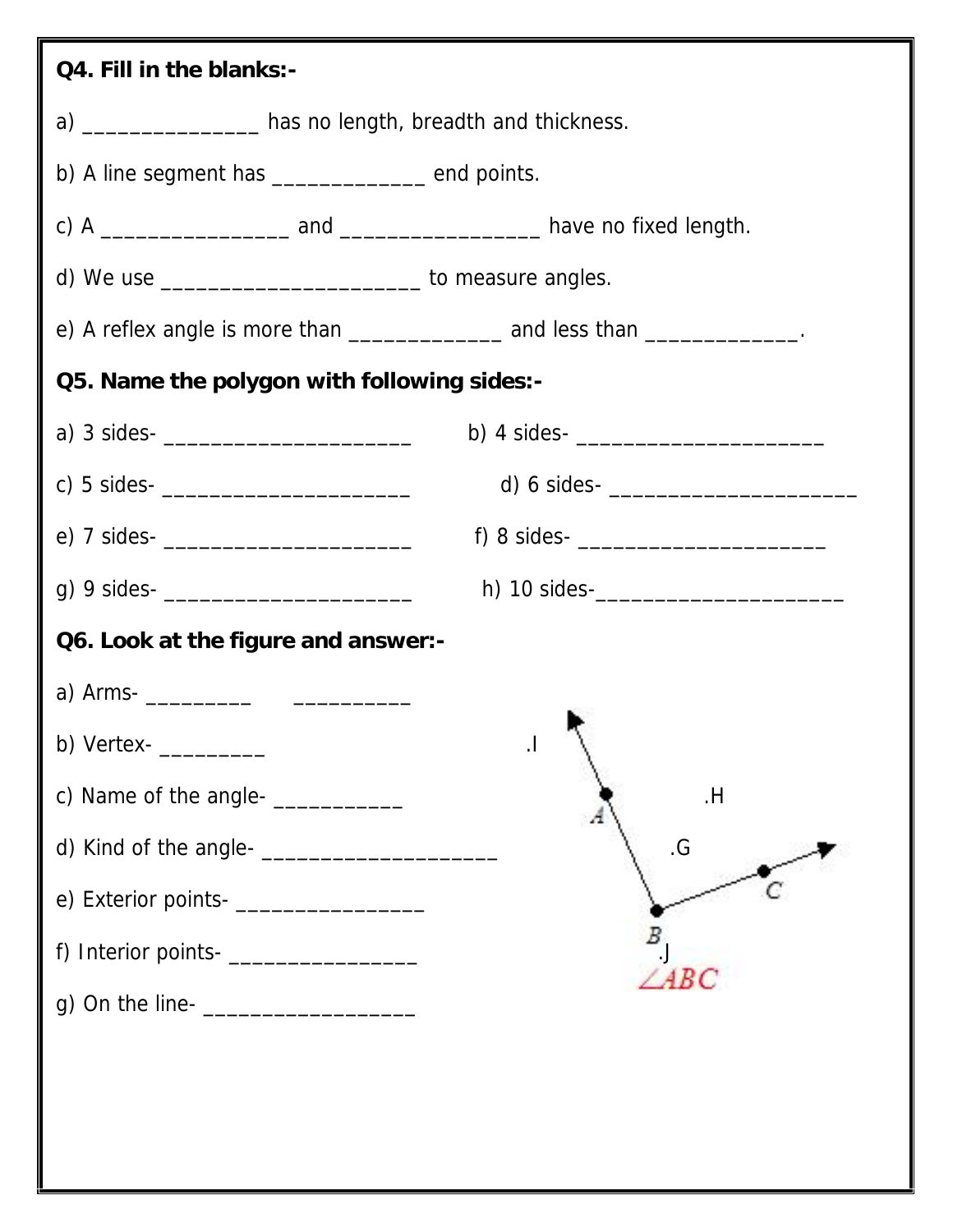| Q4. Fill in the blanks:-                                     |                                                                                              |
|--------------------------------------------------------------|----------------------------------------------------------------------------------------------|
| a) ___________________ has no length, breadth and thickness. |                                                                                              |
| b) A line segment has ______________ end points.             |                                                                                              |
|                                                              |                                                                                              |
| d) We use _____________________________ to measure angles.   |                                                                                              |
|                                                              | e) A reflex angle is more than $\frac{1}{\frac{1}{2}}$ and less than $\frac{1}{\frac{1}{2}}$ |
| Q5. Name the polygon with following sides:-                  |                                                                                              |
| a) 3 sides- $\frac{1}{2}$                                    | b) 4 sides- $\frac{1}{2}$                                                                    |
|                                                              | d) 6 sides- $\frac{1}{2}$                                                                    |
|                                                              | f) 8 sides- $\frac{1}{2}$                                                                    |
| g) 9 sides- $\frac{1}{2}$                                    |                                                                                              |
| Q6. Look at the figure and answer:-                          |                                                                                              |
|                                                              |                                                                                              |
| b) Vertex-                                                   | $\cdot$                                                                                      |
| c) Name of the angle- ____________                           | H                                                                                            |
|                                                              | $\cdot G$                                                                                    |
| e) Exterior points- _____________________                    |                                                                                              |
|                                                              |                                                                                              |
| g) On the line-<br><u> </u>                                  | $\angle ABC$                                                                                 |
|                                                              |                                                                                              |
|                                                              |                                                                                              |
|                                                              |                                                                                              |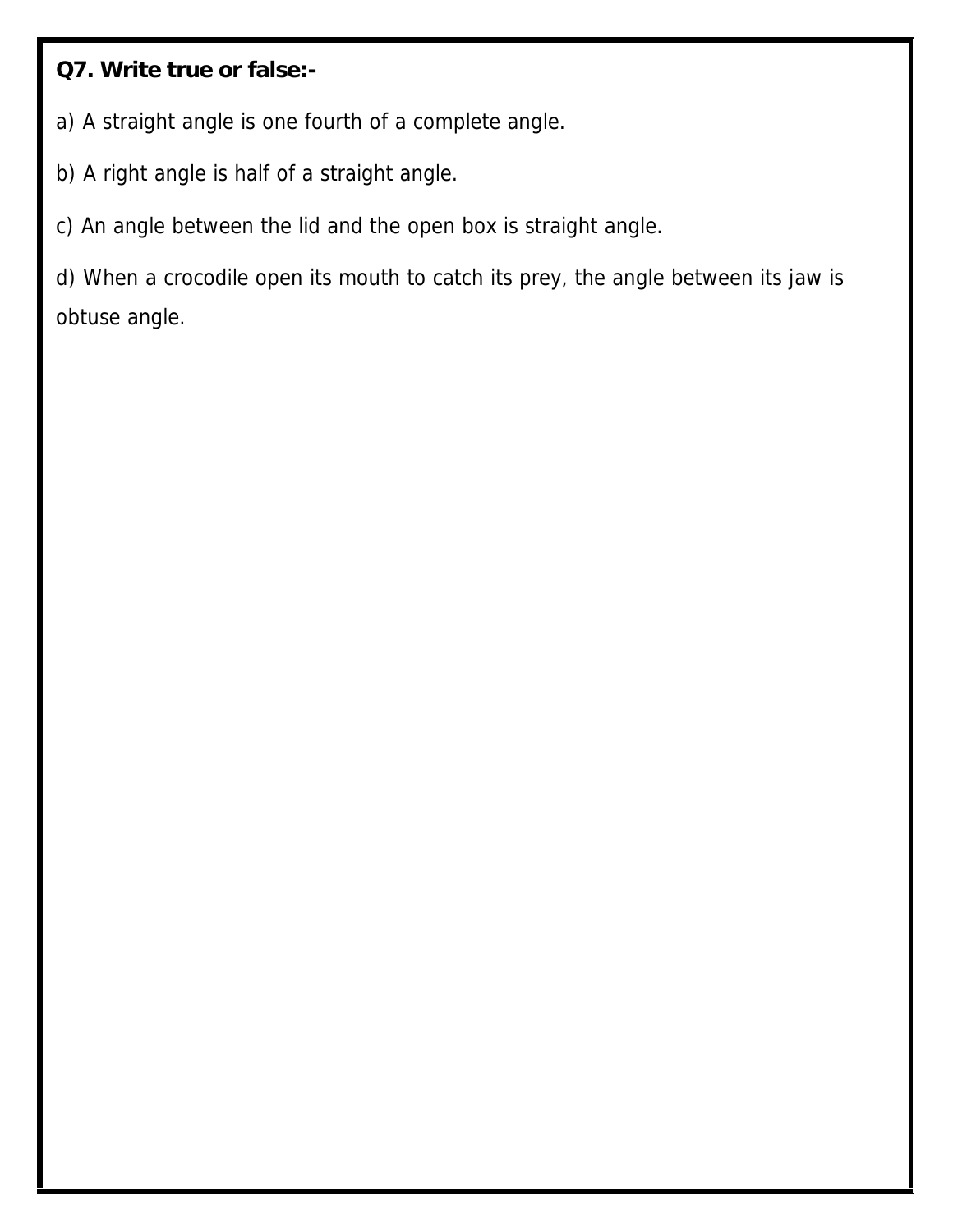**Q7. Write true or false:-**

a) A straight angle is one fourth of a complete angle.

b) A right angle is half of a straight angle.

c) An angle between the lid and the open box is straight angle.

d) When a crocodile open its mouth to catch its prey, the angle between its jaw is obtuse angle.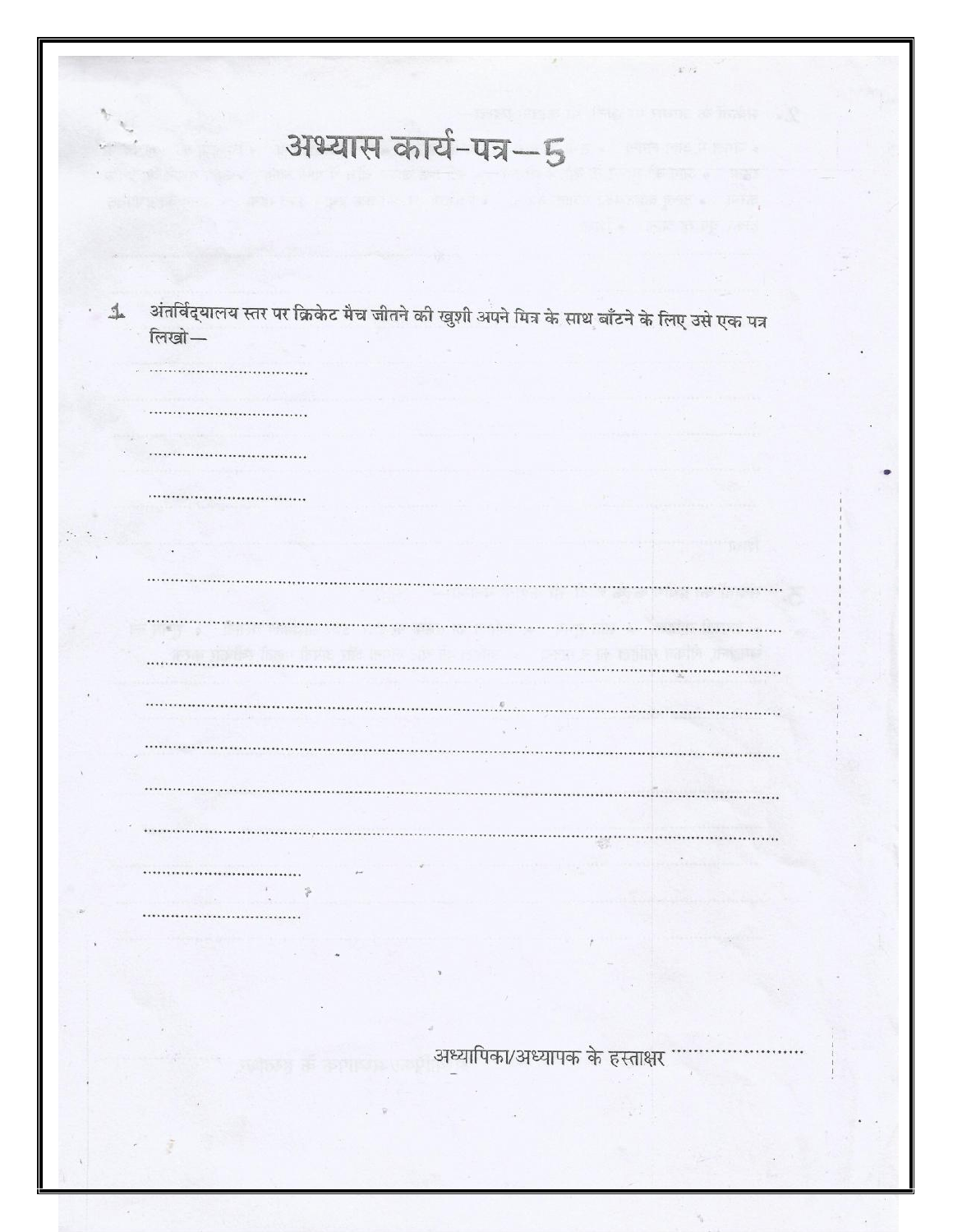| अभ्यास कार्य-पत्र-5                                                                              |  |
|--------------------------------------------------------------------------------------------------|--|
|                                                                                                  |  |
|                                                                                                  |  |
|                                                                                                  |  |
|                                                                                                  |  |
|                                                                                                  |  |
| $\,$ अंतर्विद्यालय स्तर पर क्रिकेट मैच जीतने की खुशी अपने मित्र के साथ बाँटने के लिए उसे एक पत्र |  |
| लिखो-                                                                                            |  |
|                                                                                                  |  |
|                                                                                                  |  |
|                                                                                                  |  |
|                                                                                                  |  |
|                                                                                                  |  |
| ,,,,,,,,,,,,,,,,,,,,,,,,,,,,,,,,,,,                                                              |  |
|                                                                                                  |  |
|                                                                                                  |  |
|                                                                                                  |  |
|                                                                                                  |  |
|                                                                                                  |  |
|                                                                                                  |  |
|                                                                                                  |  |
|                                                                                                  |  |
|                                                                                                  |  |
|                                                                                                  |  |
|                                                                                                  |  |
|                                                                                                  |  |
|                                                                                                  |  |
|                                                                                                  |  |
|                                                                                                  |  |
|                                                                                                  |  |
|                                                                                                  |  |
|                                                                                                  |  |
|                                                                                                  |  |
|                                                                                                  |  |
|                                                                                                  |  |
| अध्यापिका/अध्यापक के हस्ताक्षर                                                                   |  |
|                                                                                                  |  |
|                                                                                                  |  |
|                                                                                                  |  |
|                                                                                                  |  |